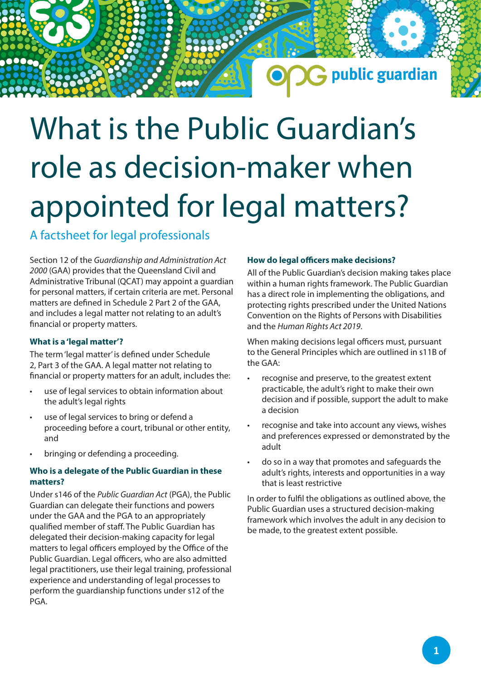## G public guardian

# What is the Public Guardian's role as decision-maker when appointed for legal matters?

### A factsheet for legal professionals

Section 12 of the *Guardianship and Administration Act 2000* (GAA) provides that the Queensland Civil and Administrative Tribunal (QCAT) may appoint a guardian for personal matters, if certain criteria are met. Personal matters are defined in Schedule 2 Part 2 of the GAA, and includes a legal matter not relating to an adult's financial or property matters.

#### **What is a 'legal matter'?**

The term 'legal matter' is defined under Schedule 2, Part 3 of the GAA. A legal matter not relating to financial or property matters for an adult, includes the:

- use of legal services to obtain information about the adult's legal rights
- use of legal services to bring or defend a proceeding before a court, tribunal or other entity, and
- bringing or defending a proceeding.

#### **Who is a delegate of the Public Guardian in these matters?**

Under s146 of the *Public Guardian Act* (PGA), the Public Guardian can delegate their functions and powers under the GAA and the PGA to an appropriately qualified member of staff. The Public Guardian has delegated their decision-making capacity for legal matters to legal officers employed by the Office of the Public Guardian. Legal officers, who are also admitted legal practitioners, use their legal training, professional experience and understanding of legal processes to perform the guardianship functions under s12 of the PGA.

#### **How do legal officers make decisions?**

All of the Public Guardian's decision making takes place within a human rights framework. The Public Guardian has a direct role in implementing the obligations, and protecting rights prescribed under the United Nations Convention on the Rights of Persons with Disabilities and the *Human Rights Act 2019*.

When making decisions legal officers must, pursuant to the General Principles which are outlined in s11B of the GAA:

- recognise and preserve, to the greatest extent practicable, the adult's right to make their own decision and if possible, support the adult to make a decision
- recognise and take into account any views, wishes and preferences expressed or demonstrated by the adult
- do so in a way that promotes and safeguards the adult's rights, interests and opportunities in a way that is least restrictive

In order to fulfil the obligations as outlined above, the Public Guardian uses a structured decision-making framework which involves the adult in any decision to be made, to the greatest extent possible.